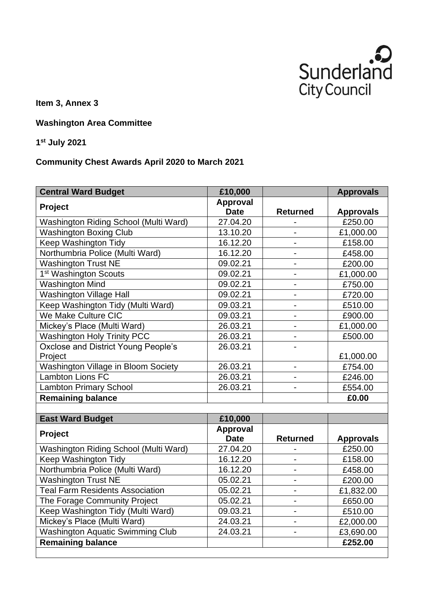

**Item 3, Annex 3**

**Washington Area Committee**

**1 st July 2021**

## **Community Chest Awards April 2020 to March 2021**

| <b>Central Ward Budget</b>              | £10,000                 |                              | <b>Approvals</b> |
|-----------------------------------------|-------------------------|------------------------------|------------------|
| Project                                 | Approval<br><b>Date</b> | <b>Returned</b>              | <b>Approvals</b> |
| Washington Riding School (Multi Ward)   | 27.04.20                |                              | £250.00          |
| <b>Washington Boxing Club</b>           | 13.10.20                |                              | £1,000.00        |
| <b>Keep Washington Tidy</b>             | 16.12.20                | $\overline{a}$               | £158.00          |
| Northumbria Police (Multi Ward)         | 16.12.20                | $\overline{\phantom{0}}$     | £458.00          |
| <b>Washington Trust NE</b>              | 09.02.21                | $\overline{\phantom{0}}$     | £200.00          |
| 1 <sup>st</sup> Washington Scouts       | 09.02.21                |                              | £1,000.00        |
| <b>Washington Mind</b>                  | 09.02.21                | $\overline{\phantom{0}}$     | £750.00          |
| <b>Washington Village Hall</b>          | 09.02.21                | -                            | £720.00          |
| Keep Washington Tidy (Multi Ward)       | 09.03.21                | $\overline{a}$               | £510.00          |
| We Make Culture CIC                     | 09.03.21                |                              | £900.00          |
| Mickey's Place (Multi Ward)             | 26.03.21                |                              | £1,000.00        |
| <b>Washington Holy Trinity PCC</b>      | 26.03.21                | $\overline{\phantom{0}}$     | £500.00          |
| Oxclose and District Young People's     | 26.03.21                | $\overline{\phantom{0}}$     |                  |
| Project                                 |                         |                              | £1,000.00        |
| Washington Village in Bloom Society     | 26.03.21                | $\overline{\phantom{0}}$     | £754.00          |
| <b>Lambton Lions FC</b>                 | 26.03.21                |                              | £246.00          |
| <b>Lambton Primary School</b>           | 26.03.21                |                              | £554.00          |
| <b>Remaining balance</b>                |                         |                              | £0.00            |
|                                         |                         |                              |                  |
| <b>East Ward Budget</b>                 | £10,000                 |                              |                  |
| Project                                 | <b>Approval</b>         |                              |                  |
|                                         | <b>Date</b>             | <b>Returned</b>              | <b>Approvals</b> |
| Washington Riding School (Multi Ward)   | 27.04.20                |                              | £250.00          |
| Keep Washington Tidy                    | 16.12.20                | $\overline{\phantom{0}}$     | £158.00          |
| Northumbria Police (Multi Ward)         | 16.12.20                | $\overline{\phantom{0}}$     | £458.00          |
| <b>Washington Trust NE</b>              | 05.02.21                |                              | £200.00          |
| Teal Farm Residents Association         | 05.02.21                | $\overline{a}$               | £1,832.00        |
| The Forage Community Project            | 05.02.21                | -                            | £650.00          |
| Keep Washington Tidy (Multi Ward)       | 09.03.21                | $\qquad \qquad \blacksquare$ | £510.00          |
| Mickey's Place (Multi Ward)             | 24.03.21                | $\overline{\phantom{0}}$     | £2,000.00        |
| <b>Washington Aquatic Swimming Club</b> | 24.03.21                |                              | £3,690.00        |

**Remaining balance E252.00**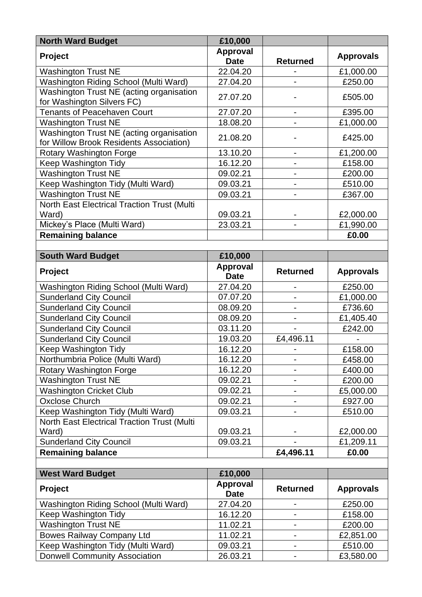| <b>North Ward Budget</b>                                                            | £10,000                        |                              |                  |
|-------------------------------------------------------------------------------------|--------------------------------|------------------------------|------------------|
| <b>Project</b>                                                                      | <b>Approval</b><br><b>Date</b> | <b>Returned</b>              | <b>Approvals</b> |
| <b>Washington Trust NE</b>                                                          | 22.04.20                       |                              | £1,000.00        |
| Washington Riding School (Multi Ward)                                               | 27.04.20                       |                              | £250.00          |
| Washington Trust NE (acting organisation<br>for Washington Silvers FC)              | 27.07.20                       |                              | £505.00          |
| <b>Tenants of Peacehaven Court</b>                                                  | 27.07.20                       | $\overline{\phantom{0}}$     | £395.00          |
| <b>Washington Trust NE</b>                                                          | 18.08.20                       |                              | £1,000.00        |
| Washington Trust NE (acting organisation<br>for Willow Brook Residents Association) | 21.08.20                       |                              | £425.00          |
| Rotary Washington Forge                                                             | 13.10.20                       | $\overline{\phantom{0}}$     | £1,200.00        |
| Keep Washington Tidy                                                                | 16.12.20                       | $\qquad \qquad \blacksquare$ | £158.00          |
| <b>Washington Trust NE</b>                                                          | 09.02.21                       |                              | £200.00          |
| Keep Washington Tidy (Multi Ward)                                                   | 09.03.21                       | $\qquad \qquad \blacksquare$ | £510.00          |
| <b>Washington Trust NE</b>                                                          | 09.03.21                       |                              | £367.00          |
| North East Electrical Traction Trust (Multi                                         |                                |                              |                  |
| Ward)                                                                               | 09.03.21                       |                              | £2,000.00        |
| Mickey's Place (Multi Ward)                                                         | 23.03.21                       |                              | £1,990.00        |
| <b>Remaining balance</b>                                                            |                                |                              | £0.00            |
|                                                                                     |                                |                              |                  |
| <b>South Ward Budget</b>                                                            | £10,000                        |                              |                  |
| Project                                                                             | <b>Approval</b><br><b>Date</b> | <b>Returned</b>              | <b>Approvals</b> |
| Washington Riding School (Multi Ward)                                               | 27.04.20                       |                              | £250.00          |
| <b>Sunderland City Council</b>                                                      | 07.07.20                       |                              | £1,000.00        |
| <b>Sunderland City Council</b>                                                      | 08.09.20                       | $\qquad \qquad \blacksquare$ | £736.60          |
| <b>Sunderland City Council</b>                                                      | 08.09.20                       |                              | £1,405.40        |
| <b>Sunderland City Council</b>                                                      | 03.11.20                       |                              | £242.00          |
| <b>Sunderland City Council</b>                                                      | 19.03.20                       | £4,496.11                    |                  |
| Keep Washington Tidy                                                                | 16.12.20                       |                              | £158.00          |
| Northumbria Police (Multi Ward)                                                     | 16.12.20                       |                              | £458.00          |
| Rotary Washington Forge                                                             | 16.12.20                       |                              | £400.00          |
| <b>Washington Trust NE</b>                                                          | 09.02.21                       |                              | £200.00          |
| <b>Washington Cricket Club</b>                                                      | 09.02.21                       |                              | £5,000.00        |
| <b>Oxclose Church</b>                                                               | 09.02.21                       |                              | £927.00          |
| Keep Washington Tidy (Multi Ward)                                                   | 09.03.21                       |                              | £510.00          |
| North East Electrical Traction Trust (Multi                                         |                                |                              |                  |
| Ward)                                                                               | 09.03.21                       |                              | £2,000.00        |
| <b>Sunderland City Council</b>                                                      | 09.03.21                       |                              | £1,209.11        |
| <b>Remaining balance</b>                                                            |                                | £4,496.11                    | £0.00            |
|                                                                                     |                                |                              |                  |
| <b>West Ward Budget</b>                                                             | £10,000                        |                              |                  |
| Project                                                                             | Approval<br><b>Date</b>        | <b>Returned</b>              | <b>Approvals</b> |
| Washington Riding School (Multi Ward)                                               | 27.04.20                       |                              | £250.00          |
| Keep Washington Tidy                                                                | 16.12.20                       |                              | £158.00          |
| <b>Washington Trust NE</b>                                                          | 11.02.21                       | $\overline{\phantom{0}}$     | £200.00          |
| <b>Bowes Railway Company Ltd</b>                                                    | 11.02.21                       |                              | £2,851.00        |
| Keep Washington Tidy (Multi Ward)                                                   | 09.03.21                       | $\qquad \qquad \blacksquare$ | £510.00          |
| <b>Donwell Community Association</b>                                                | 26.03.21                       |                              | £3,580.00        |